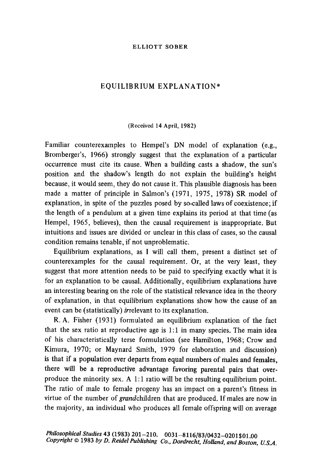# EQUILIBRIUM EXPLANATION\*

### (Received 14 April, 1982)

Familiar counterexamples to Hempel's DN model of explanation (e.g., Bromberger's, 1966) strongly suggest that the explanation of a particular occurrence must cite its cause. When a building casts a shadow, the sun's position and the shadow's length do not explain the building's height because, it would seem, they do not cause it. This plausible diagnosis has been made a matter of principle in Salmon's (1971, 1975, 1978) SR model of explanation, in spite of the puzzles posed by so-called laws of coexistence; if the length of a pendulum at a given time explains its period at that time (as Hempel, 1965, believes), then the causal requirement is inappropriate. But intuitions and issues are divided or unclear in this class of cases, so the causal condition remains tenable, if not unproblematic.

Equilibrium explanations, as I will call them, present a distinct set of counterexamples for the causal requirement. Or, at the very least, they suggest that more attention needs to be paid to specifying exactly what it is for an explanation to be causal. Additionally, equilibrium explanations have an interesting bearing on the role of the statistical relevance idea in the theory of explanation, in that equilibrium explanations show how the cause of an event can be (statistically) *irrelevant* to its explanation.

R.A. Fisher (1931) formulated an equilibrium explanation of the fact that the sex ratio at reproductive age is 1:1 in many species. The main idea of his characteristically terse formulation (see Hamilton, 1968; Crow and Kimura, 1970; or Maynard Smith, 1979 for elaboration and discussion) is that if a population ever departs from equal numbers of males and females, there will be a reproductive advantage favoring parental pairs that overproduce the minority sex. A 1:1 ratio will be the resulting equilibrium point. The ratio of male to female progeny has an impact on a parent's fitness in virtue of the number of *grandchildren* that are produced. If males are now in the majority, an individual who produces all female offspring will on average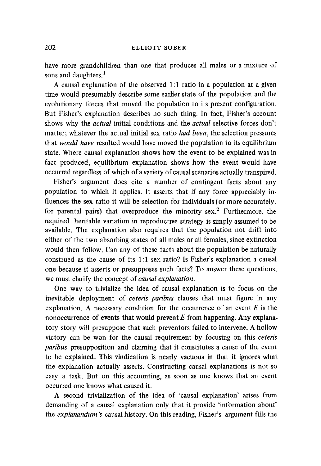## 202 ELLIOTT SOBER

have more grandchildren than one that produces all males or a mixture of sons and daughters.<sup>1</sup>

A causal explanation of the observed  $1:1$  ratio in a population at a given time would presumably describe some earlier state of the population and the evolutionary forces that moved the population to its present configuration. But Fisher's explanation describes no such thing. In fact, Fisher's account shows why the *actual* initial conditions and the *actual* selective forces don't matter; whatever the actual initial sex ratio *had been,* the selection pressures that *would have* resulted would have moved the population to its equilibrium state. Where causal explanation shows how the event to be explained was in fact produced, equilibrium explanation shows how the event would have occurred regardless of which of a variety of causal scenarios actually transpired.

Fisher's argument does cite a number of contingent facts about any population to which it applies. It asserts that if any force appreciably influences the sex ratio it will be selection for individuals (or more accurately, for parental pairs) that overproduce the minority  $sex.^2$  Furthermore, the required heritable variation in reproductive strategy is simply assumed to be available. The explanation also requires that the population not drift into either of the two absorbing states of all males or all females, since extinction would then follow. Can any of these facts about the population be naturally construed as the cause of its 1:1 sex ratio? Is Fisher's explanation a causal one because it asserts or presupposes such facts? To answer these questions, we must clarify the concept of *causal explanation.* 

One way to trivialize the idea of causal explanation is to focus on the inevitable deployment of *ceteris paribus* clauses that must figure in any explanation. A necessary condition for the occurrence of an event  $E$  is the nonoccurrence of events that would prevent  $E$  from happening. Any explanatory story will presuppose that such preventors failed to intervene. A hollow victory can be won for the causal requirement by focusing on this *ceteris paribus* presupposition and claiming that it constitutes a cause of the event to be explained. This vindication is nearly vacuous in that it ignores what the explanation actually asserts. Constructing causal explanations is not so easy a task. But on this accounting, as soon as one knows that an event occurred one knows what caused it.

A second trivialization of the idea of 'causal explanation' arises from demanding of a causal explanation only that it provide 'information about' the *explanandum's* causal history. On this reading, Fisher's argument fills the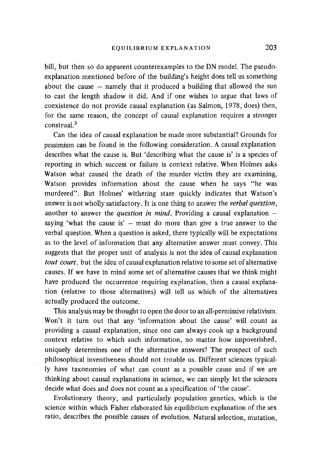bill, but then so do apparent counterexamples to the DN model. The pseudoexplanation mentioned before of the building's height does tell us something about the cause  $-$  namely that it produced a building that allowed the sun to cast the length shadow it did. And if one wishes to argue that laws of coexistence do not provide causal explanation (as Salmon, 1978, does) then, for the same reason, the concept of causal explanation requires a stronger construal<sup>3</sup>

Can the idea of causal explanation be made more substantial? Grounds for pessimism can be found in the following consideration. A causal explanation describes what the cause is. But 'describing what the cause is' is a species of reporting in which success or failure is context relative. When Holmes asks Watson what caused the death of the murder victim they are examining, Watson provides information about the cause when he says "he was murdered". But Holmes' withering stare quickly indicates that Watson's answer is not wholly satisfactory. It is one thing to answer the *verbal question,*  another to answer the *question in mind*. Providing a causal explanation  $$ saying 'what the cause is'  $-$  must do more than give a true answer to the verbal question. When a question is asked, there typically will be expectations as to the level of information that any alternative answer must convey. This suggests that the proper unit of analysis is not the idea of causal explanation *tout court,* but the idea of causal explanation relative to some set of alternative causes. If we have in mind some set of alternative causes that we think might have produced the occurrence requiring explanation, then a causal explanation (relative to those alternatives) will tell us which of the alternatives actually produced the outcome.

This analysis may be thought to open the door to an all-permissive relativism. Won't it turn out that any 'information about the cause' will count as providing a causal explanation, since one can always cook up a background context relative to which such information, no matter how impoverished, uniquely determines one of the alternative answers? The prospect of such philosophical inventiveness should not trouble us. Different sciences typically have taxonomies of what can count as a possible cause and if we are thinking about causal explanations in science, we can simply let the sciences decide what does and does not count as a specification of'the cause'.

Evolutionary theory, and particularly population genetics, which is the science within which Fisher elaborated his equilibrium explanation of the sex ratio, describes the possible causes of evolution. Natural selection, mutation,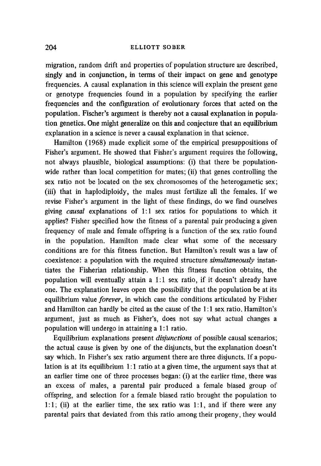## 204 ELLIOTT SOBER

migration, random drift and properties of population structure are described, singly and in conjunction, in terms of their impact on gene and genotype frequencies. A causal explanation in this science will explain the present gene or genotype frequencies found in a population by specifying the earlier frequencies and the configuration of evolutionary forces that acted on the population. Fischer's argument is thereby not a causal explanation in population genetics. One might generalize on this and conjecture that an equilibrium explanation in a science is never a causal explanation in that science.

Hamilton (1968) made explicit some of the empirical presuppositions of Fisher's argument. He showed that Fisher's argument requires the following, not always plausible, biological assumptions: (i) that there be populationwide rather than local competition for mates; (ii) that genes controlling the sex ratio not be located on the sex chromosomes of the heterogametic sex; (iii) that in haplodiploidy, the males must fertilize all the females. If we revise Fisher's argument in the light of these findings, do we find ourselves giving *causal* explanations of 1:1 sex ratios for populations to which it applies? Fisher specified how the fitness of a parental pair producing a given frequency of male and female offspring is a function of the sex ratio found in the population. Hamilton made clear what some of the necessary conditions are for this fitness function. But Hamilton's result was a law of coexistence: a population with the required structure *simultaneously* instantiates the Fisherian relationship. When this fitness function obtains, the population will eventually attain a i:1 sex ratio, if it doesn't already have one. The explanation leaves open the possibility that the population be at its equilibrium value *forever,* in which case the conditions articulated by Fisher and Hamilton can hardly be cited as the cause of the 1:1 sex ratio. Hamilton's argument, just as much as Fisher's, does not say what actual changes a population will undergo in attaining a 1:1 ratio.

Equilibrium explanations present *disjunctions* of possible causal scenarios; the actual cause is given by one of the disjuncts, but the explanation doesn't say which. In Fisher's sex ratio argument there are three disjuncts. If a population is at its equilibrium 1:1 ratio at a given time, the argument says that at an earlier time one of three processes began: (i) at the earlier time, there was an excess of males, a parental pair produced a female biased group of offspring, and selection for a female biased ratio brought the population to 1:1; (ii) at the earlier time, the sex ratio was 1:1, and if there were any parental pairs that deviated from this ratio among their progeny, they would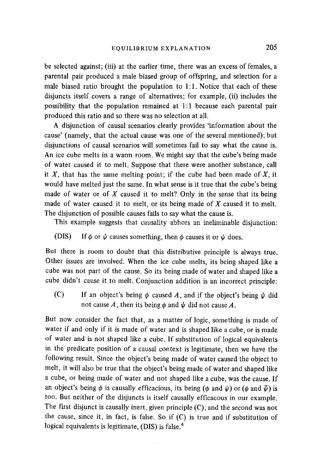be selected against; (iii) at the earlier time, there was an excess of females, a parental pair produced a male biased group of offspring, and selection for a male biased ratio brought the population to 1:1. Notice that each of these disjuncts itself covers a range of alternatives; for example, (ii) includes the possibility that the population remained at 1:1 because each parental pair produced this ratio and so there was no selection at all.

A disjunction of causal scenarios clearly provides 'information about the cause' (namely, that the actual cause was one of the several mentioned); but disjunctions of causal scenarios will sometimes fail to say what the cause is. An ice cube melts in a warm room. We might say that the cube's being made of water caused it to melt. Suppose that there were another substance, call it X, that has the same melting point; if the cube had been made of  $X$ , it would have melted just the same. In what sense is it true that the cube's being made of water or of  $X$  caused it to melt? Only in the sense that its being made of water caused it to melt, or its being made of  $X$  caused it to melt. The disjunction of possible causes fails to say what the cause is.

This example suggests that causality abhors an ineliminable disjunction:

(DIS) If  $\phi$  or  $\psi$  causes something, then  $\phi$  causes it or  $\psi$  does.

But there is room to doubt that this distributive principle is always true. Other issues are involved. When the ice cube melts, its being shaped like a cube was not part of the cause. So its being made of water and shaped like a cube didn't cause it to melt. Conjunction addition is an incorrect principle:

(C) If an object's being  $\phi$  caused A, and if the object's being  $\psi$  did not cause A, then its being  $\phi$  and  $\psi$  did not cause A.

But now consider the fact that, as a matter of logic, something is made of water if and only if it is made of water and is shaped like a cube, or is made of water and is not shaped like a cube. If substitution of logical equivalents in the predicate position of a causal context is legitimate, then we have the following result. Since the object's being made of water caused the object to melt, it will also be true that the object's being made of water and shaped like a cube, or being made of water and not shaped like a cube, was the cause. If an object's being  $\phi$  is causally efficacious, its being ( $\phi$  and  $\psi$ ) or ( $\phi$  and  $\overline{\psi}$ ) is too. But neither of the disjuncts is itself causally efficacous in our example. The first disjunct is causally inert, given principle (C); and the second was not the cause, since it, in fact, is false. So if (C) is true and if substitution of logical equivalents is legitimate, (DIS) is false.<sup>4</sup>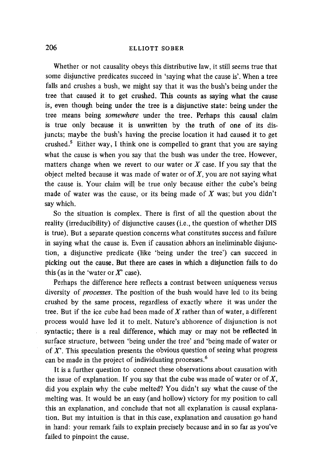# 206 ELLIOTT SOBER

Whether or not causality obeys this distributive law, it still seems true that some disjunctive predicates succeed in 'saying what the cause is'. When a tree falls and crushes a bush, we might say that it was the bush's being under the tree that caused it to get crushed. This counts as saying what the cause is, even though being under the tree is a disjunctive state: being under the tree means being *somewhere* under the tree. Perhaps this causal claim is true only because it is unwritten by the truth of one of its disjuncts; maybe the bush's having the precise location it had caused it to get crushed.<sup>5</sup> Either way, I think one is compelled to grant that you are saying what the cause is when you say that the bush was under the tree. However, matters change when we revert to our water or  $X$  case. If you say that the object melted because it was made of water or of  $X$ , you are not saying what the cause is. Your claim will be true only because either the cube's being made of water was the cause, or its being made of  $X$  was; but you didn't say which.

So the situation is complex. There is first of all the question about the reality (irreducibility) of disjunctive causes (i.e., the question of whether DIS is true). But a separate question concerns what constitutes success and failure in saying what the cause is. Even if causation abhors an ineliminable disjunction, a disjunctive predicate (like 'being under the tree') can succeed in picking out the cause. But there are cases in which a disjunction fails to do this (as in the 'water or  $X$ ' case).

Perhaps the difference here reflects a contrast between uniqueness versus diversity of *processes.* The position of the bush would have led to its being crushed by the same process, regardless of exactly where it was under the tree. But if the ice cube had been made of X rather than of water, a different process would have led it to melt. Nature's abhorence of disjunction is not syntactic; there is a real difference, which may or may not be reflected in surface structure, between 'being under the tree' and 'being made of water or of  $X'$ . This speculation presents the obvious question of seeing what progress can be made in the project of individuating processes. 6

It is a further question to connect these observations about causation with the issue of explanation. If you say that the cube was made of water or of  $X$ , did you explain why the cube melted? You didn't say what the cause of the melting was. It would be an easy (and hollow) victory for my position to call this an explanation, and conclude that not all explanation is causal explanation. But my intuition is that in this case, explanation and causation go hand in hand: your remark fails to explain precisely because and in so far as you've failed to pinpoint the cause.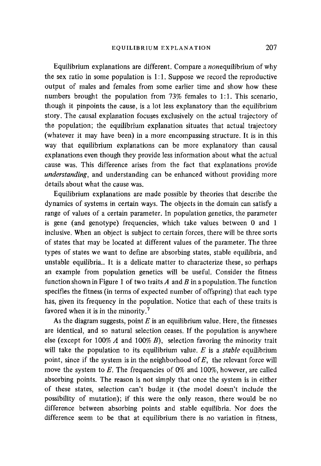Equilibrium explanations are different. Compare a *nonequilibfium* of why the sex ratio in some population is  $1:1$ . Suppose we record the reproductive output of males and females from some earlier time and show how these numbers brought the population from 73% females to 1:1. This scenario, though it pinpoints the cause, is a lot less explanatory than the equilibrium story. The causal explanation focuses exclusively on the actual trajectory of the population; the equilibrium explanation situates that actual trajectory (whatever it may have been) in a more encompassing structure. It is in this way that equilibrium explanations can be more explanatory than causal explanations even though they provide less information about what the actual cause was. This difference arises from the fact that explanations provide *understanding,* and understanding can be enhanced without providing more details about what the cause was.

Equilibrium explanations are made possible by theories that describe the dynamics of systems in certain ways. The objects in the domain can satisfy a range of values of a certain parameter. In population genetics, the parameter is gene (and genotype) frequencies, which take values between 0 and 1 inclusive. When an object is subject to certain forces, there will be three sorts of states that may be located at different values of the parameter. The three types of states we want to define are absorbing states, stable equilibria, and unstable equilibria.. It is a delicate matter to characterize these, so perhaps an example from population genetics will be useful. Consider the fitness function shown in Figure 1 of two traits  $\vec{A}$  and  $\vec{B}$  in a population. The function specifies the fitness (in terms of expected number of offspring) that each type has, given its frequency in the population. Notice that each of these traits is favored when it is in the minority. 7

As the diagram suggests, point  $E$  is an equilibrium value. Here, the fitnesses are identical, and so natural selection ceases. If the population is anywhere else (except for 100% A and 100% B), selection favoring the minority trait will take the population to its equilibrium value. E is a *stable* equilibrium point, since if the system is in the neighborhood of  $E$ , the relevant force will move the system to  $E$ . The frequencies of 0% and 100%, however, are called absorbing points. The reason is not simply that once the system is in either of these states, selection can't budge it (the model doesn't include the possibility of mutation); if this were the only reason, there would be no difference between absorbing points and stable equilibria. Nor does the difference seem to be that at equilibrium there is no variation in fitness,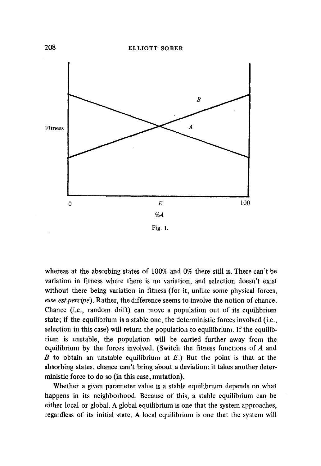

whereas at the absorbing states of 100% and 0% there still is. There can't be variation in fitness where there is no variation, and selection doesn't exist without there being variation in fitness (for it, unlike some physical forces, *esse est percipe*). Rather, the difference seems to involve the notion of chance. Chance (i.e., random drift) can move a population out of its equilibrium state; if the equilibrium is a stable one, the deterministic forces involved (i.e., selection in this case) will return the population to equilibrium. If the equilibrium is unstable, the population will be carried further away from the equilibrium by the forces involved. (Switch the fitness functions of  $A$  and B to obtain an unstable equilibrium at  $E$ .) But the point is that at the absorbing states, chance can't bring about a deviation; it takes another deterministic force to do so (in this case, mutation).

Whether a given parameter value is a stable equilibrium depends on what happens in its neighborhood. Because of this, a stable equilibrium can be either local or global. A global equilibrium is one that the system approaches, regardless of its initial state. A local equilibrium is one that the system will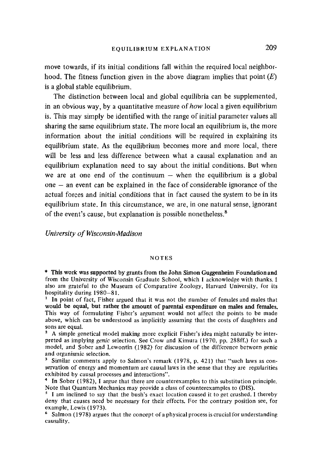move towards, if its initial conditions fall within the required local neighborhood. The fitness function given in the above diagram implies that point  $(E)$ is a global stable equilibrium.

The distinction between local and global equilibria can be supplemented, in an obvious way, by a quantitative measure *of how* local a given equilibrium is. This may simply be identified with the range of initial parameter values all sharing the same equilibrium state. The more local an equilibrium is, the more information about the initial conditions will be required in explaining its equilibrium state. As the equilibrium becomes more and more local, there will be less and less difference between what a causal explanation and an equilibrium explanation need to say about the initial conditions. But when we are at one end of the continuum  $-$  when the equilibrium is a global  $one$  – an event can be explained in the face of considerable ignorance of the actual forces and initial conditions that in fact caused the system to be in its equilibrium state. In this circumstance, we are, in one natural sense, ignorant of the event's cause, but explanation is possible nonetheless.<sup>8</sup>

*University of Wisconsin-Madison* 

#### NOTES

\* This work **was supported** by grants from the John Simon Guggenheim **Foundalion and**  from the University of Wisconsin Graduate School, which I acknowledge with thanks. I also am grateful to the Museum of Comparative Zoology, Harvard University, for its hospitality during 1980-81.

<sup>1</sup> In point of fact, Fisher argued that it was not the number of females and males that **would be** equal, but rather **the amount** of parental **expenditure on** males and females. This way of formulating Fisher's argument would not affect the points to be made above, which can be understood as implicitly assuming that the costs of daughters and sons are equal.

2 A simple genetical model making more explicit Fisher's idea might naturally be interpreted as implying *genie* selection. See Crow and Kimura (1970, pp. 288ff.) for such a model, and Sober and Lewontin (1982) for discussion of the difference between genie and organismic selection.

<sup>3</sup> Similar comments apply to Salmon's remark (1978, p. 421) that "such laws as conservation of energy and momentum are causal laws in the sense that they are regularities exhibited by causal processes and interactions".

4 In Sober (1982), I argue that there are counterexamples to this substitution principle. Note that Quantum Mechanics may provide a class of counterexamples to (DIS).

<sup>5</sup> I am inclined to say that the bush's exact location caused it to get crushed. I thereby deny that causes need be necessary for their effects. For the contrary position see, for example, Lewis (1973).

<sup>6</sup> Salmon (1978) argues that the concept of a physical process is crucial for understanding causality.